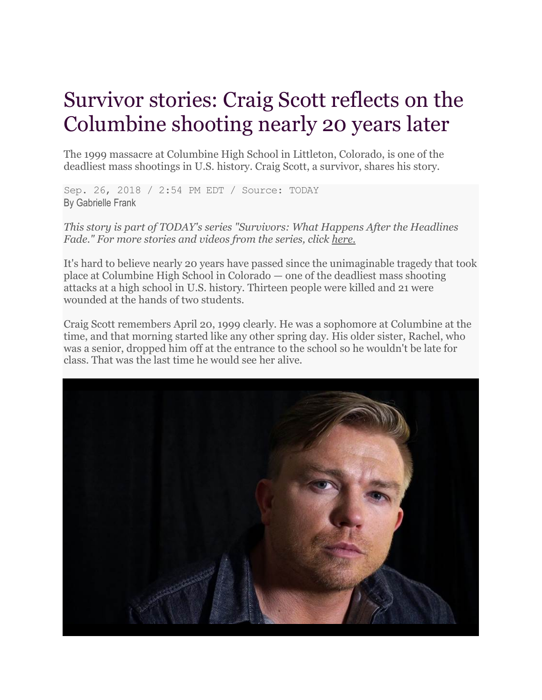## Survivor stories: Craig Scott reflects on the Columbine shooting nearly 20 years later

The 1999 massacre at Columbine High School in Littleton, Colorado, is one of the deadliest mass shootings in U.S. history. Craig Scott, a survivor, shares his story.

Sep. 26, 2018 / 2:54 PM EDT / Source: TODAY By Gabrielle Frank

*This story is part of TODAY's series "Survivors: What Happens After the Headlines Fade." For more stories and videos from the series, click [here.](https://www.today.com/specials/survivors)*

It's hard to believe nearly 20 years have passed since the unimaginable tragedy that took place at Columbine High School in Colorado — one of the deadliest mass shooting attacks at a high school in U.S. history. Thirteen people were killed and 21 were wounded at the hands of two students.

Craig Scott remembers April 20, 1999 clearly. He was a sophomore at Columbine at the time, and that morning started like any other spring day. His older sister, Rachel, who was a senior, dropped him off at the entrance to the school so he wouldn't be late for class. That was the last time he would see her alive.

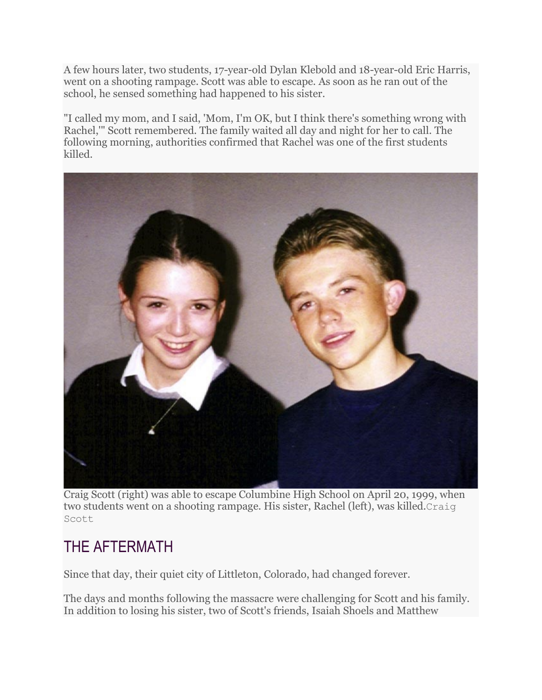A few hours later, two students, 17-year-old Dylan Klebold and 18-year-old Eric Harris, went on a shooting rampage. Scott was able to escape. As soon as he ran out of the school, he sensed something had happened to his sister.

"I called my mom, and I said, 'Mom, I'm OK, but I think there's something wrong with Rachel,'" Scott remembered. The family waited all day and night for her to call. The following morning, authorities confirmed that Rachel was one of the first students killed.



Craig Scott (right) was able to escape Columbine High School on April 20, 1999, when two students went on a shooting rampage. His sister, Rachel (left), was killed.Craig Scott

## THE AFTERMATH

Since that day, their quiet city of Littleton, Colorado, had changed forever.

The days and months following the massacre were challenging for Scott and his family. In addition to losing his sister, two of Scott's friends, Isaiah Shoels and Matthew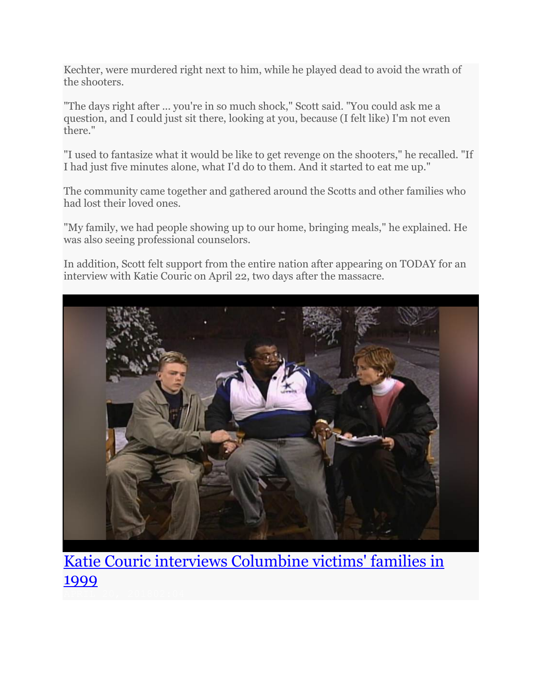Kechter, were murdered right next to him, while he played dead to avoid the wrath of the shooters.

"The days right after ... you're in so much shock," Scott said. "You could ask me a question, and I could just sit there, looking at you, because (I felt like) I'm not even there."

"I used to fantasize what it would be like to get revenge on the shooters," he recalled. "If I had just five minutes alone, what I'd do to them. And it started to eat me up."

The community came together and gathered around the Scotts and other families who had lost their loved ones.

"My family, we had people showing up to our home, bringing meals," he explained. He was also seeing professional counselors.

In addition, Scott felt support from the entire nation after appearing on TODAY for an interview with Katie Couric on April 22, two days after the massacre.



[Katie Couric interviews Columbine victims' families in](https://www.today.com/video/katie-couric-interviews-columbine-victims-families-in-1999-1215601219840)  [1999](https://www.today.com/video/katie-couric-interviews-columbine-victims-families-in-1999-1215601219840)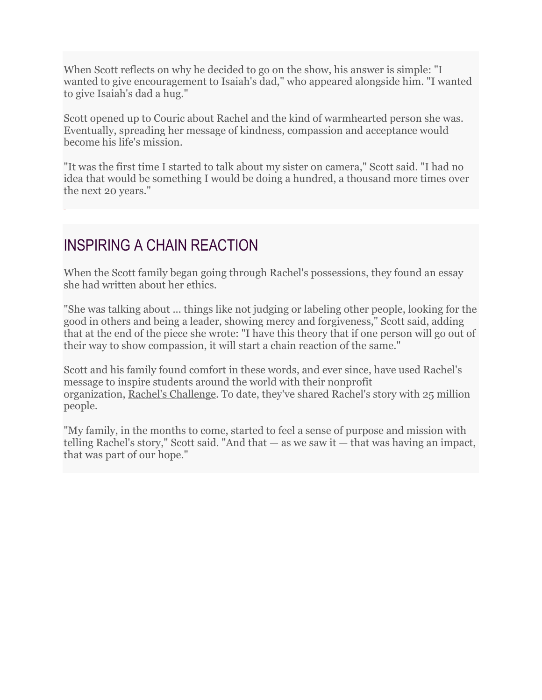When Scott reflects on why he decided to go on the show, his answer is simple: "I wanted to give encouragement to Isaiah's dad," who appeared alongside him. "I wanted to give Isaiah's dad a hug."

Scott opened up to Couric about Rachel and the kind of warmhearted person she was. Eventually, spreading her message of kindness, compassion and acceptance would become his life's mission.

"It was the first time I started to talk about my sister on camera," Scott said. "I had no idea that would be something I would be doing a hundred, a thousand more times over the next 20 years."

## INSPIRING A CHAIN REACTION

When the Scott family began going through Rachel's possessions, they found an essay she had written about her ethics.

"She was talking about ... things like not judging or labeling other people, looking for the good in others and being a leader, showing mercy and forgiveness," Scott said, adding that at the end of the piece she wrote: "I have this theory that if one person will go out of their way to show compassion, it will start a chain reaction of the same."

Scott and his family found comfort in these words, and ever since, have used Rachel's message to inspire students around the world with their nonprofit organization, [Rachel's Challenge.](https://rachelschallenge.org/) To date, they've shared Rachel's story with 25 million people.

"My family, in the months to come, started to feel a sense of purpose and mission with telling Rachel's story," Scott said. "And that  $-$  as we saw it  $-$  that was having an impact, that was part of our hope."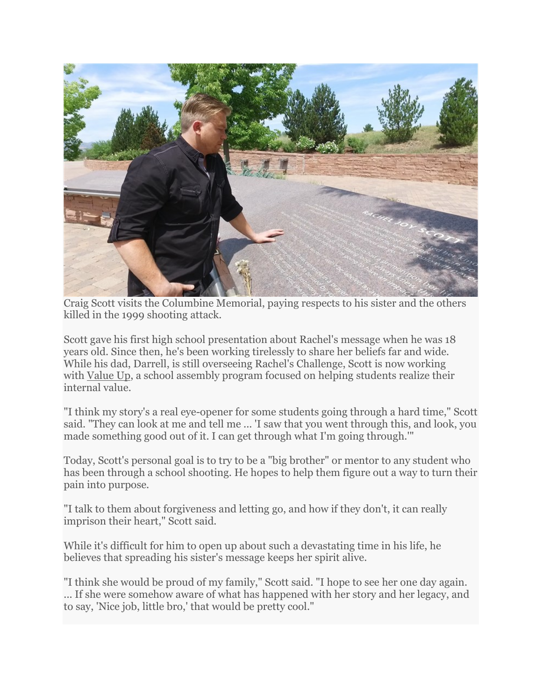

Craig Scott visits the Columbine Memorial, paying respects to his sister and the others killed in the 1999 shooting attack.

Scott gave his first high school presentation about Rachel's message when he was 18 years old. Since then, he's been working tirelessly to share her beliefs far and wide. While his dad, Darrell, is still overseeing Rachel's Challenge, Scott is now working with [Value Up,](https://value-up.org/) a school assembly program focused on helping students realize their internal value.

"I think my story's a real eye-opener for some students going through a hard time," Scott said. "They can look at me and tell me ... 'I saw that you went through this, and look, you made something good out of it. I can get through what I'm going through.'"

Today, Scott's personal goal is to try to be a "big brother" or mentor to any student who has been through a school shooting. He hopes to help them figure out a way to turn their pain into purpose.

"I talk to them about forgiveness and letting go, and how if they don't, it can really imprison their heart," Scott said.

While it's difficult for him to open up about such a devastating time in his life, he believes that spreading his sister's message keeps her spirit alive.

"I think she would be proud of my family," Scott said. "I hope to see her one day again. ... If she were somehow aware of what has happened with her story and her legacy, and to say, 'Nice job, little bro,' that would be pretty cool."